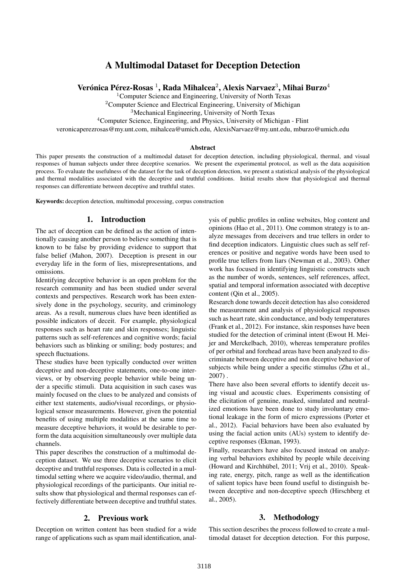# A Multimodal Dataset for Deception Detection

Verónica Pérez-Rosas  $^1$ , Rada Mihalcea $^2$ , Alexis Narvaez $^3$ , Mihai Burzo $^4$ 

<sup>1</sup>Computer Science and Engineering, University of North Texas

<sup>2</sup>Computer Science and Electrical Engineering, University of Michigan

<sup>3</sup>Mechanical Engineering, University of North Texas

<sup>4</sup>Computer Science, Engineering, and Physics, University of Michigan - Flint

veronicaperezrosas@my.unt.com, mihalcea@umich.edu, AlexisNarvaez@my.unt.edu, mburzo@umich.edu

#### Abstract

This paper presents the construction of a multimodal dataset for deception detection, including physiological, thermal, and visual responses of human subjects under three deceptive scenarios. We present the experimental protocol, as well as the data acquisition process. To evaluate the usefulness of the dataset for the task of deception detection, we present a statistical analysis of the physiological and thermal modalities associated with the deceptive and truthful conditions. Initial results show that physiological and thermal responses can differentiate between deceptive and truthful states.

Keywords: deception detection, multimodal processing, corpus construction

#### 1. Introduction

The act of deception can be defined as the action of intentionally causing another person to believe something that is known to be false by providing evidence to support that false belief (Mahon, 2007). Deception is present in our everyday life in the form of lies, misrepresentations, and omissions.

Identifying deceptive behavior is an open problem for the research community and has been studied under several contexts and perspectives. Research work has been extensively done in the psychology, security, and criminology areas. As a result, numerous clues have been identified as possible indicators of deceit. For example, physiological responses such as heart rate and skin responses; linguistic patterns such as self-references and cognitive words; facial behaviors such as blinking or smiling; body postures; and speech fluctuations.

These studies have been typically conducted over written deceptive and non-deceptive statements, one-to-one interviews, or by observing people behavior while being under a specific stimuli. Data acquisition in such cases was mainly focused on the clues to be analyzed and consists of either text statements, audio/visual recordings, or physiological sensor measurements. However, given the potential benefits of using multiple modalities at the same time to measure deceptive behaviors, it would be desirable to perform the data acquisition simultaneously over multiple data channels.

This paper describes the construction of a multimodal deception dataset. We use three deceptive scenarios to elicit deceptive and truthful responses. Data is collected in a multimodal setting where we acquire video/audio, thermal, and physiological recordings of the participants. Our initial results show that physiological and thermal responses can effectively differentiate between deceptive and truthful states.

#### 2. Previous work

Deception on written content has been studied for a wide range of applications such as spam mail identification, analysis of public profiles in online websites, blog content and opinions (Hao et al., 2011). One common strategy is to analyze messages from deceivers and true tellers in order to find deception indicators. Linguistic clues such as self references or positive and negative words have been used to profile true tellers from liars (Newman et al., 2003). Other work has focused in identifying linguistic constructs such as the number of words, sentences, self references, affect, spatial and temporal information associated with deceptive content (Qin et al., 2005).

Research done towards deceit detection has also considered the measurement and analysis of physiological responses such as heart rate, skin conductance, and body temperatures (Frank et al., 2012). For instance, skin responses have been studied for the detection of criminal intent (Ewout H. Meijer and Merckelbach, 2010), whereas temperature profiles of per orbital and forehead areas have been analyzed to discriminate between deceptive and non deceptive behavior of subjects while being under a specific stimulus (Zhu et al., 2007) .

There have also been several efforts to identify deceit using visual and acoustic clues. Experiments consisting of the elicitation of genuine, masked, simulated and neutralized emotions have been done to study involuntary emotional leakage in the form of micro expressions (Porter et al., 2012). Facial behaviors have been also evaluated by using the facial action units (AUs) system to identify deceptive responses (Ekman, 1993).

Finally, researchers have also focused instead on analyzing verbal behaviors exhibited by people while deceiving (Howard and Kirchhübel, 2011; Vrij et al., 2010). Speaking rate, energy, pitch, range as well as the identification of salient topics have been found useful to distinguish between deceptive and non-deceptive speech (Hirschberg et al., 2005).

#### 3. Methodology

This section describes the process followed to create a multimodal dataset for deception detection. For this purpose,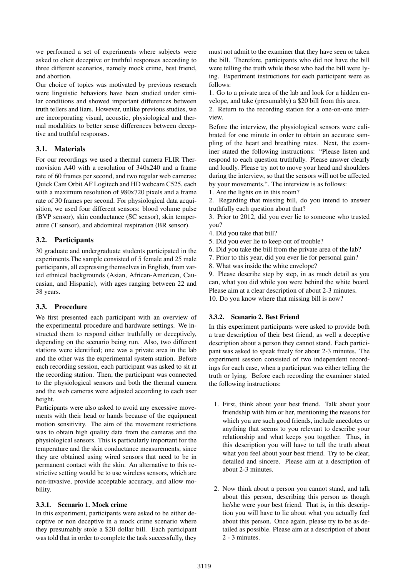we performed a set of experiments where subjects were asked to elicit deceptive or truthful responses according to three different scenarios, namely mock crime, best friend, and abortion.

Our choice of topics was motivated by previous research were linguistic behaviors have been studied under similar conditions and showed important differences between truth tellers and liars. However, unlike previous studies, we are incorporating visual, acoustic, physiological and thermal modalities to better sense differences between deceptive and truthful responses.

# 3.1. Materials

For our recordings we used a thermal camera FLIR Thermovision A40 with a resolution of 340x240 and a frame rate of 60 frames per second, and two regular web cameras: Quick Cam Orbit AF Logitech and HD webcam C525, each with a maximum resolution of 980x720 pixels and a frame rate of 30 frames per second. For physiological data acquisition, we used four different sensors: blood volume pulse (BVP sensor), skin conductance (SC sensor), skin temperature (T sensor), and abdominal respiration (BR sensor).

# 3.2. Participants

30 graduate and undergraduate students participated in the experiments.The sample consisted of 5 female and 25 male participants, all expressing themselves in English, from varied ethnical backgrounds (Asian, African-American, Caucasian, and Hispanic), with ages ranging between 22 and 38 years.

# 3.3. Procedure

We first presented each participant with an overview of the experimental procedure and hardware settings. We instructed them to respond either truthfully or deceptively, depending on the scenario being run. Also, two different stations were identified; one was a private area in the lab and the other was the experimental system station. Before each recording session, each participant was asked to sit at the recording station. Then, the participant was connected to the physiological sensors and both the thermal camera and the web cameras were adjusted according to each user height.

Participants were also asked to avoid any excessive movements with their head or hands because of the equipment motion sensitivity. The aim of the movement restrictions was to obtain high quality data from the cameras and the physiological sensors. This is particularly important for the temperature and the skin conductance measurements, since they are obtained using wired sensors that need to be in permanent contact with the skin. An alternative to this restrictive setting would be to use wireless sensors, which are non-invasive, provide acceptable accuracy, and allow mobility.

# 3.3.1. Scenario 1. Mock crime

In this experiment, participants were asked to be either deceptive or non deceptive in a mock crime scenario where they presumably stole a \$20 dollar bill. Each participant was told that in order to complete the task successfully, they must not admit to the examiner that they have seen or taken the bill. Therefore, participants who did not have the bill were telling the truth while those who had the bill were lying. Experiment instructions for each participant were as follows:

1. Go to a private area of the lab and look for a hidden envelope, and take (presumably) a \$20 bill from this area.

2. Return to the recording station for a one-on-one interview.

Before the interview, the physiological sensors were calibrated for one minute in order to obtain an accurate sampling of the heart and breathing rates. Next, the examiner stated the following instructions: "Please listen and respond to each question truthfully. Please answer clearly and loudly. Please try not to move your head and shoulders during the interview, so that the sensors will not be affected by your movements.". The interview is as follows:

1. Are the lights on in this room?

2. Regarding that missing bill, do you intend to answer truthfully each question about that?

3. Prior to 2012, did you ever lie to someone who trusted you?

- 4. Did you take that bill?
- 5. Did you ever lie to keep out of trouble?
- 6. Did you take the bill from the private area of the lab?
- 7. Prior to this year, did you ever lie for personal gain?
- 8. What was inside the white envelope?

9. Please describe step by step, in as much detail as you can, what you did while you were behind the white board. Please aim at a clear description of about 2-3 minutes. 10. Do you know where that missing bill is now?

# 3.3.2. Scenario 2. Best Friend

In this experiment participants were asked to provide both a true description of their best friend, as well a deceptive description about a person they cannot stand. Each participant was asked to speak freely for about 2-3 minutes. The experiment session consisted of two independent recordings for each case, when a participant was either telling the truth or lying. Before each recording the examiner stated the following instructions:

- 1. First, think about your best friend. Talk about your friendship with him or her, mentioning the reasons for which you are such good friends, include anecdotes or anything that seems to you relevant to describe your relationship and what keeps you together. Thus, in this description you will have to tell the truth about what you feel about your best friend. Try to be clear, detailed and sincere. Please aim at a description of about 2-3 minutes.
- 2. Now think about a person you cannot stand, and talk about this person, describing this person as though he/she were your best friend. That is, in this description you will have to lie about what you actually feel about this person. Once again, please try to be as detailed as possible. Please aim at a description of about 2 - 3 minutes.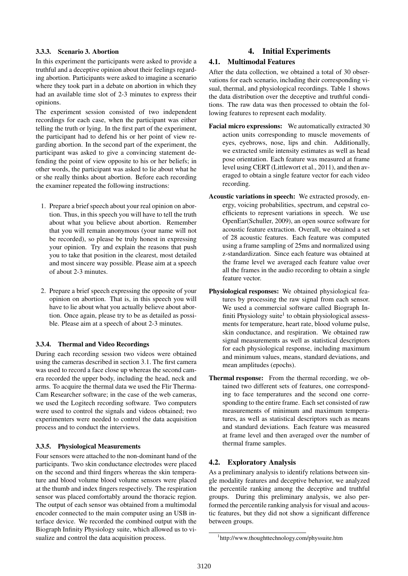### 3.3.3. Scenario 3. Abortion

In this experiment the participants were asked to provide a truthful and a deceptive opinion about their feelings regarding abortion. Participants were asked to imagine a scenario where they took part in a debate on abortion in which they had an available time slot of 2-3 minutes to express their opinions.

The experiment session consisted of two independent recordings for each case, when the participant was either telling the truth or lying. In the first part of the experiment, the participant had to defend his or her point of view regarding abortion. In the second part of the experiment, the participant was asked to give a convincing statement defending the point of view opposite to his or her beliefs; in other words, the participant was asked to lie about what he or she really thinks about abortion. Before each recording the examiner repeated the following instructions:

- 1. Prepare a brief speech about your real opinion on abortion. Thus, in this speech you will have to tell the truth about what you believe about abortion. Remember that you will remain anonymous (your name will not be recorded), so please be truly honest in expressing your opinion. Try and explain the reasons that push you to take that position in the clearest, most detailed and most sincere way possible. Please aim at a speech of about 2-3 minutes.
- 2. Prepare a brief speech expressing the opposite of your opinion on abortion. That is, in this speech you will have to lie about what you actually believe about abortion. Once again, please try to be as detailed as possible. Please aim at a speech of about 2-3 minutes.

# 3.3.4. Thermal and Video Recordings

During each recording session two videos were obtained using the cameras described in section 3.1. The first camera was used to record a face close up whereas the second camera recorded the upper body, including the head, neck and arms. To acquire the thermal data we used the Flir Therma-Cam Researcher software; in the case of the web cameras, we used the Logitech recording software. Two computers were used to control the signals and videos obtained; two experimenters were needed to control the data acquisition process and to conduct the interviews.

### 3.3.5. Physiological Measurements

Four sensors were attached to the non-dominant hand of the participants. Two skin conductance electrodes were placed on the second and third fingers whereas the skin temperature and blood volume blood volume sensors were placed at the thumb and index fingers respectively. The respiration sensor was placed comfortably around the thoracic region. The output of each sensor was obtained from a multimodal encoder connected to the main computer using an USB interface device. We recorded the combined output with the Biograph Infinity Physiology suite, which allowed us to visualize and control the data acquisition process.

# 4. Initial Experiments

### 4.1. Multimodal Features

After the data collection, we obtained a total of 30 observations for each scenario, including their corresponding visual, thermal, and physiological recordings. Table 1 shows the data distribution over the deceptive and truthful conditions. The raw data was then processed to obtain the following features to represent each modality.

- Facial micro expressions: We automatically extracted 30 action units corresponding to muscle movements of eyes, eyebrows, nose, lips and chin. Additionally, we extracted smile intensity estimates as well as head pose orientation. Each feature was measured at frame level using CERT (Littlewort et al., 2011), and then averaged to obtain a single feature vector for each video recording.
- Acoustic variations in speech: We extracted prosody, energy, voicing probabilities, spectrum, and cepstral coefficients to represent variations in speech. We use OpenEar(Schuller, 2009), an open source software for acoustic feature extraction. Overall, we obtained a set of 28 acoustic features. Each feature was computed using a frame sampling of 25ms and normalized using z-standardization. Since each feature was obtained at the frame level we averaged each feature value over all the frames in the audio recording to obtain a single feature vector.
- Physiological responses: We obtained physiological features by processing the raw signal from each sensor. We used a commercial software called Biograph Infiniti Physiology suite<sup>1</sup> to obtain physiological assessments for temperature, heart rate, blood volume pulse, skin conductance, and respiration. We obtained raw signal measurements as well as statistical descriptors for each physiological response, including maximum and minimum values, means, standard deviations, and mean amplitudes (epochs).
- Thermal response: From the thermal recording, we obtained two different sets of features, one corresponding to face temperatures and the second one corresponding to the entire frame. Each set consisted of raw measurements of minimum and maximum temperatures, as well as statistical descriptors such as means and standard deviations. Each feature was measured at frame level and then averaged over the number of thermal frame samples.

# 4.2. Exploratory Analysis

As a preliminary analysis to identify relations between single modality features and deceptive behavior, we analyzed the percentile ranking among the deceptive and truthful groups. During this preliminary analysis, we also performed the percentile ranking analysis for visual and acoustic features, but they did not show a significant difference between groups.

<sup>1</sup> http://www.thoughttechnology.com/physsuite.htm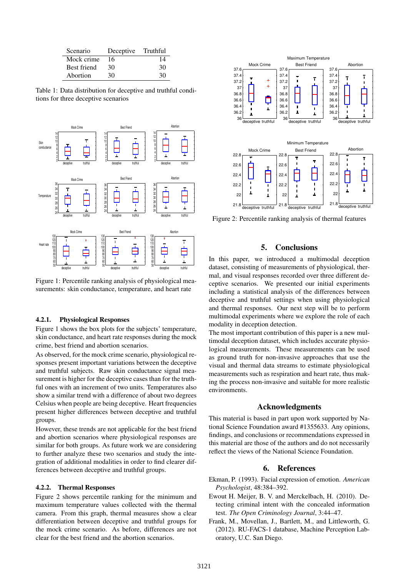| Scenario           | Deceptive Truthful |    |
|--------------------|--------------------|----|
| Mock crime         | 16                 | 14 |
| <b>Best friend</b> | 30                 | 30 |
| Abortion           | 30                 | 30 |

Table 1: Data distribution for deceptive and truthful conditions for three deceptive scenarios



Figure 1: Percentile ranking analysis of physiological measurements: skin conductance, temperature, and heart rate

#### 4.2.1. Physiological Responses

Figure 1 shows the box plots for the subjects' temperature, skin conductance, and heart rate responses during the mock crime, best friend and abortion scenarios.

As observed, for the mock crime scenario, physiological responses present important variations between the deceptive and truthful subjects. Raw skin conductance signal measurement is higher for the deceptive cases than for the truthful ones with an increment of two units. Temperatures also show a similar trend with a difference of about two degrees Celsius when people are being deceptive. Heart frequencies present higher differences between deceptive and truthful groups.

However, these trends are not applicable for the best friend and abortion scenarios where physiological responses are similar for both groups. As future work we are considering to further analyze these two scenarios and study the integration of additional modalities in order to find clearer differences between deceptive and truthful groups.

#### 4.2.2. Thermal Responses

Figure 2 shows percentile ranking for the minimum and maximum temperature values collected with the thermal camera. From this graph, thermal measures show a clear differentiation between deceptive and truthful groups for the mock crime scenario. As before, differences are not clear for the best friend and the abortion scenarios.



Figure 2: Percentile ranking analysis of thermal features

#### 5. Conclusions

In this paper, we introduced a multimodal deception dataset, consisting of measurements of physiological, thermal, and visual responses recorded over three different deceptive scenarios. We presented our initial experiments including a statistical analysis of the differences between deceptive and truthful settings when using physiological and thermal responses. Our next step will be to perform multimodal experiments where we explore the role of each modality in deception detection.

The most important contribution of this paper is a new multimodal deception dataset, which includes accurate physiological measurements. These measurements can be used as ground truth for non-invasive approaches that use the visual and thermal data streams to estimate physiological measurements such as respiration and heart rate, thus making the process non-invasive and suitable for more realistic environments.

#### Acknowledgments

This material is based in part upon work supported by National Science Foundation award #1355633. Any opinions, findings, and conclusions or recommendations expressed in this material are those of the authors and do not necessarily reflect the views of the National Science Foundation.

#### 6. References

- Ekman, P. (1993). Facial expression of emotion. *American Psychologist*, 48:384–392.
- Ewout H. Meijer, B. V. and Merckelbach, H. (2010). Detecting criminal intent with the concealed information test. *The Open Criminology Journal*, 3:44–47.
- Frank, M., Movellan, J., Bartlett, M., and Littleworth, G. (2012). RU-FACS-1 database, Machine Perception Laboratory, U.C. San Diego.